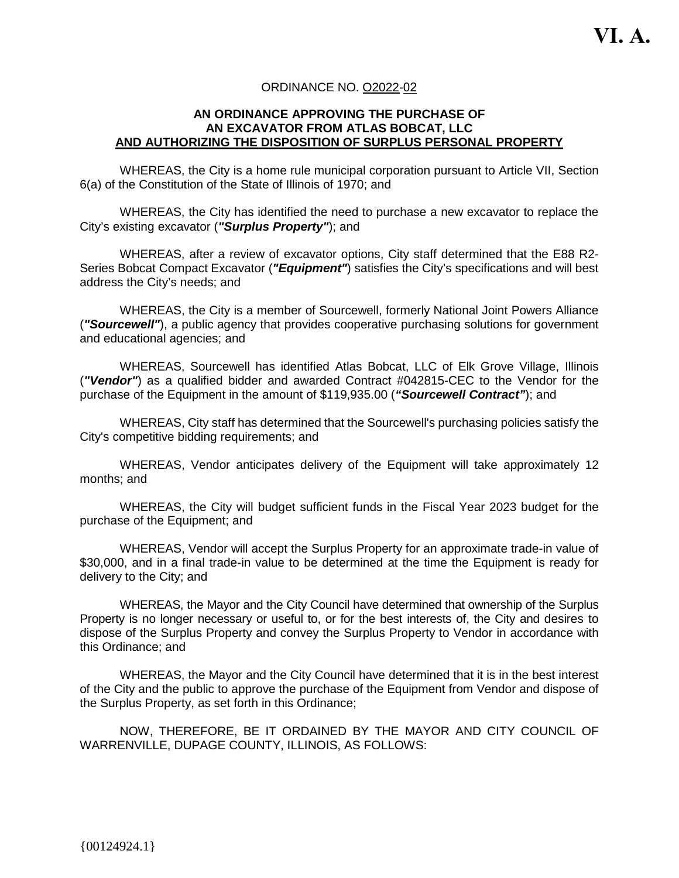#### ORDINANCE NO. O2022-02

#### **AN ORDINANCE APPROVING THE PURCHASE OF AN EXCAVATOR FROM ATLAS BOBCAT, LLC AND AUTHORIZING THE DISPOSITION OF SURPLUS PERSONAL PROPERTY**

WHEREAS, the City is a home rule municipal corporation pursuant to Article VII, Section 6(a) of the Constitution of the State of Illinois of 1970; and

WHEREAS, the City has identified the need to purchase a new excavator to replace the City's existing excavator (*"Surplus Property"*); and

WHEREAS, after a review of excavator options, City staff determined that the E88 R2- Series Bobcat Compact Excavator (*"Equipment"*) satisfies the City's specifications and will best address the City's needs; and

WHEREAS, the City is a member of Sourcewell, formerly National Joint Powers Alliance (*"Sourcewell"*), a public agency that provides cooperative purchasing solutions for government and educational agencies; and

WHEREAS, Sourcewell has identified Atlas Bobcat, LLC of Elk Grove Village, Illinois (*"Vendor"*) as a qualified bidder and awarded Contract #042815-CEC to the Vendor for the purchase of the Equipment in the amount of \$119,935.00 (*"Sourcewell Contract"*); and

WHEREAS, City staff has determined that the Sourcewell's purchasing policies satisfy the City's competitive bidding requirements; and

WHEREAS, Vendor anticipates delivery of the Equipment will take approximately 12 months; and

WHEREAS, the City will budget sufficient funds in the Fiscal Year 2023 budget for the purchase of the Equipment; and

WHEREAS, Vendor will accept the Surplus Property for an approximate trade-in value of \$30,000, and in a final trade-in value to be determined at the time the Equipment is ready for delivery to the City; and

WHEREAS, the Mayor and the City Council have determined that ownership of the Surplus Property is no longer necessary or useful to, or for the best interests of, the City and desires to dispose of the Surplus Property and convey the Surplus Property to Vendor in accordance with this Ordinance; and

WHEREAS, the Mayor and the City Council have determined that it is in the best interest of the City and the public to approve the purchase of the Equipment from Vendor and dispose of the Surplus Property, as set forth in this Ordinance;

NOW, THEREFORE, BE IT ORDAINED BY THE MAYOR AND CITY COUNCIL OF WARRENVILLE, DUPAGE COUNTY, ILLINOIS, AS FOLLOWS: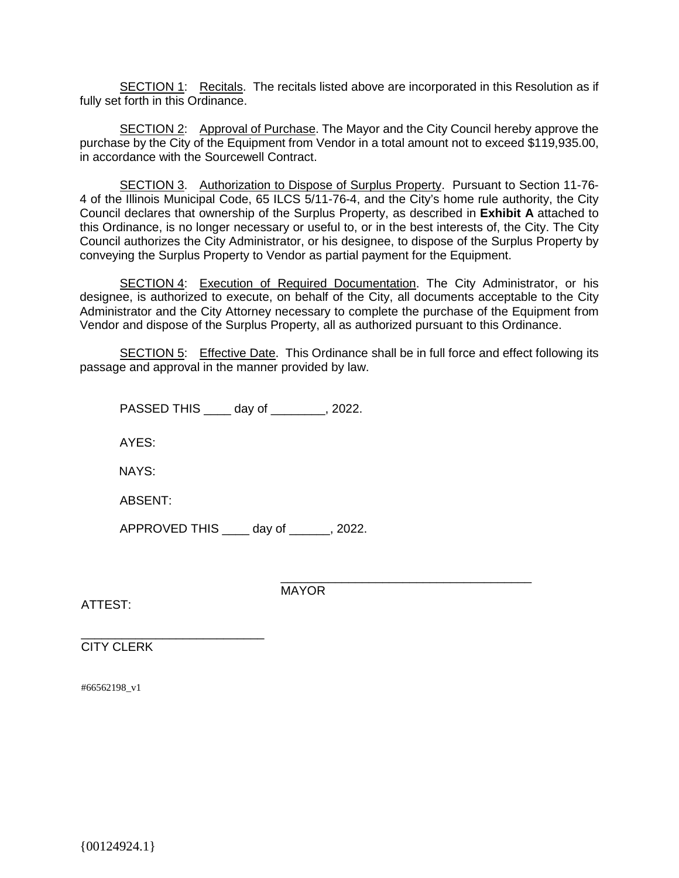SECTION 1: Recitals. The recitals listed above are incorporated in this Resolution as if fully set forth in this Ordinance.

SECTION 2: Approval of Purchase. The Mayor and the City Council hereby approve the purchase by the City of the Equipment from Vendor in a total amount not to exceed \$119,935.00, in accordance with the Sourcewell Contract.

SECTION 3. Authorization to Dispose of Surplus Property. Pursuant to Section 11-76- 4 of the Illinois Municipal Code, 65 ILCS 5/11-76-4, and the City's home rule authority, the City Council declares that ownership of the Surplus Property, as described in **Exhibit A** attached to this Ordinance, is no longer necessary or useful to, or in the best interests of, the City. The City Council authorizes the City Administrator, or his designee, to dispose of the Surplus Property by conveying the Surplus Property to Vendor as partial payment for the Equipment.

SECTION 4: Execution of Required Documentation. The City Administrator, or his designee, is authorized to execute, on behalf of the City, all documents acceptable to the City Administrator and the City Attorney necessary to complete the purchase of the Equipment from Vendor and dispose of the Surplus Property, all as authorized pursuant to this Ordinance.

SECTION 5: Effective Date. This Ordinance shall be in full force and effect following its passage and approval in the manner provided by law.

PASSED THIS \_\_\_\_ day of \_\_\_\_\_\_\_\_, 2022.

AYES:

NAYS:

ABSENT:

\_\_\_\_\_\_\_\_\_\_\_\_\_\_\_\_\_\_\_\_\_\_\_\_\_\_\_

APPROVED THIS \_\_\_\_ day of \_\_\_\_\_\_, 2022.

ATTEST:

\_\_\_\_\_\_\_\_\_\_\_\_\_\_\_\_\_\_\_\_\_\_\_\_\_\_\_\_\_\_\_\_\_\_\_\_\_ MAYOR

CITY CLERK

#66562198\_v1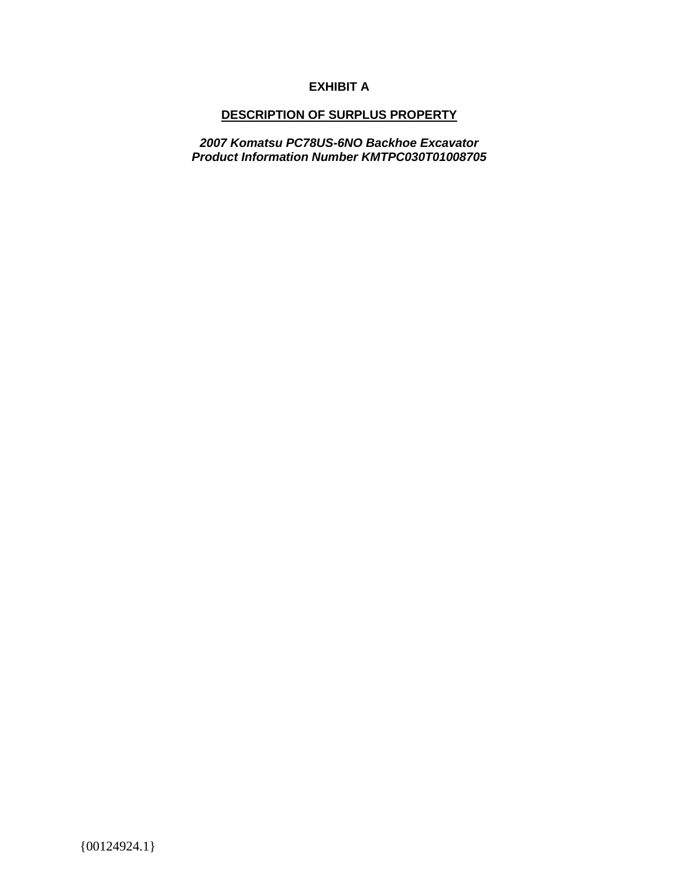## **EXHIBIT A**

### **DESCRIPTION OF SURPLUS PROPERTY**

*2007 Komatsu PC78US-6NO Backhoe Excavator Product Information Number KMTPC030T01008705*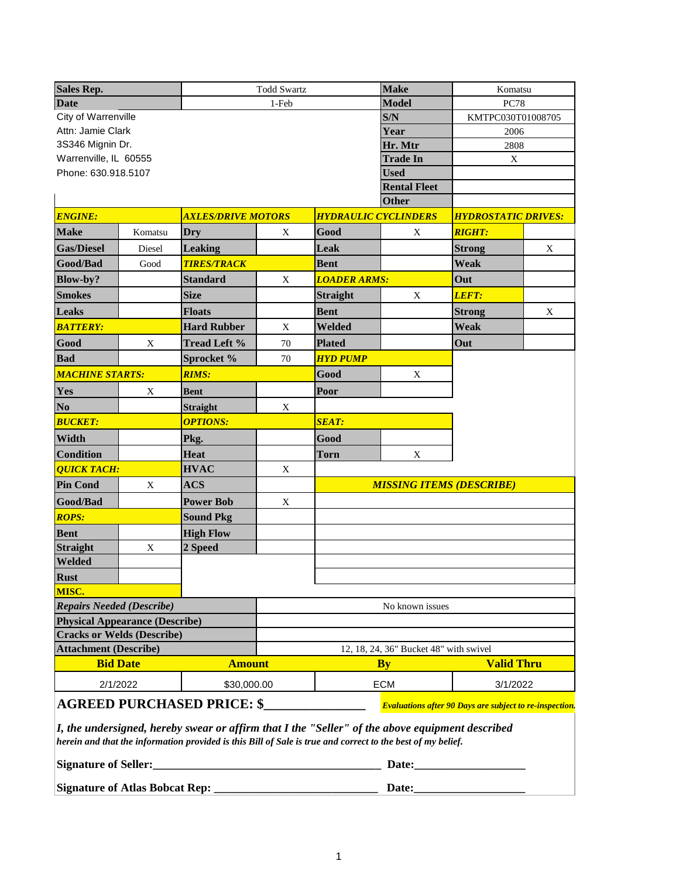| <b>Sales Rep.</b>                     |             | <b>Todd Swartz</b>        |             | <b>Make</b>                 | Komatsu                                |                                                                |   |
|---------------------------------------|-------------|---------------------------|-------------|-----------------------------|----------------------------------------|----------------------------------------------------------------|---|
| <b>Date</b>                           |             | 1-Feb                     |             | <b>Model</b>                | <b>PC78</b>                            |                                                                |   |
| City of Warrenville                   |             |                           |             | S/N                         | KMTPC030T01008705                      |                                                                |   |
| Attn: Jamie Clark                     |             |                           |             |                             | Year                                   | 2006                                                           |   |
| 3S346 Mignin Dr.                      |             |                           |             |                             | Hr. Mtr                                | 2808                                                           |   |
| Warrenville, IL 60555                 |             |                           |             |                             | <b>Trade In</b>                        | X                                                              |   |
| Phone: 630.918.5107                   |             |                           |             |                             | <b>Used</b>                            |                                                                |   |
|                                       |             |                           |             |                             | <b>Rental Fleet</b>                    |                                                                |   |
|                                       |             |                           |             |                             | <b>Other</b>                           |                                                                |   |
| <b>ENGINE:</b>                        |             | <b>AXLES/DRIVE MOTORS</b> |             | <b>HYDRAULIC CYCLINDERS</b> |                                        | <b>HYDROSTATIC DRIVES:</b>                                     |   |
| <b>Make</b>                           | Komatsu     | Dry                       | X           | Good                        | X                                      | <b>RIGHT:</b>                                                  |   |
| <b>Gas/Diesel</b>                     | Diesel      | <b>Leaking</b>            |             | Leak                        |                                        | <b>Strong</b>                                                  | X |
| Good/Bad                              | Good        | <b>TIRES/TRACK</b>        |             | <b>Bent</b>                 |                                        | Weak                                                           |   |
| Blow-by?                              |             | <b>Standard</b>           | X           | <b>LOADER ARMS:</b>         |                                        | Out                                                            |   |
| <b>Smokes</b>                         |             | <b>Size</b>               |             | <b>Straight</b>             | X                                      | LEFT:                                                          |   |
| <b>Leaks</b>                          |             | <b>Floats</b>             |             | <b>Bent</b>                 |                                        | <b>Strong</b>                                                  | X |
| <b>BATTERY:</b>                       |             | <b>Hard Rubber</b>        | X           | Welded                      |                                        | Weak                                                           |   |
| Good                                  | $\mathbf X$ | <b>Tread Left %</b>       | 70          | <b>Plated</b>               |                                        | Out                                                            |   |
| <b>Bad</b>                            |             | Sprocket %                | 70          | <b>HYD PUMP</b>             |                                        |                                                                |   |
| <b>MACHINE STARTS:</b>                |             | <b>RIMS:</b>              |             | Good                        | X                                      |                                                                |   |
| Yes                                   | X           | Bent                      |             | Poor                        |                                        |                                                                |   |
| N <sub>o</sub>                        |             | <b>Straight</b>           | X           |                             |                                        |                                                                |   |
| <b>BUCKET:</b>                        |             | <b>OPTIONS:</b>           |             | <b>SEAT:</b>                |                                        |                                                                |   |
| Width                                 |             | Pkg.                      |             | Good                        |                                        |                                                                |   |
| <b>Condition</b>                      |             | <b>Heat</b>               |             | <b>Torn</b>                 | $\mathbf X$                            |                                                                |   |
| <b>QUICK TACH:</b>                    |             | <b>HVAC</b>               | $\mathbf X$ |                             |                                        |                                                                |   |
| <b>Pin Cond</b>                       | $\mathbf X$ | <b>ACS</b>                |             |                             | <b>MISSING ITEMS (DESCRIBE)</b>        |                                                                |   |
| Good/Bad                              |             | <b>Power Bob</b>          | X           |                             |                                        |                                                                |   |
| <b>ROPS:</b>                          |             | <b>Sound Pkg</b>          |             |                             |                                        |                                                                |   |
| <b>Bent</b>                           |             | <b>High Flow</b>          |             |                             |                                        |                                                                |   |
| <b>Straight</b>                       | X           | 2 Speed                   |             |                             |                                        |                                                                |   |
| Welded                                |             |                           |             |                             |                                        |                                                                |   |
| <b>Rust</b>                           |             |                           |             |                             |                                        |                                                                |   |
| MISC.                                 |             |                           |             |                             |                                        |                                                                |   |
| <b>Repairs Needed (Describe)</b>      |             |                           |             | No known issues             |                                        |                                                                |   |
| <b>Physical Appearance (Describe)</b> |             |                           |             |                             |                                        |                                                                |   |
| <b>Cracks or Welds (Describe)</b>     |             |                           |             |                             |                                        |                                                                |   |
| <b>Attachment (Describe)</b>          |             |                           |             |                             | 12, 18, 24, 36" Bucket 48" with swivel |                                                                |   |
| <b>Bid Date</b><br><b>Amount</b>      |             |                           | <b>By</b>   |                             | <b>Valid Thru</b>                      |                                                                |   |
| 2/1/2022<br>\$30,000.00               |             |                           |             | <b>ECM</b>                  |                                        | 3/1/2022                                                       |   |
| <b>AGREED PURCHASED PRICE: \$</b>     |             |                           |             |                             |                                        | <b>Evaluations after 90 Days are subject to re-inspection.</b> |   |

*I, the undersigned, hereby swear or affirm that I the "Seller" of the above equipment described herein and that the information provided is this Bill of Sale is true and correct to the best of my belief.* 

| <b>Signature of Seller:</b>           | Date <sup>.</sup> |
|---------------------------------------|-------------------|
| <b>Signature of Atlas Bobcat Rep:</b> | <b>Date:</b>      |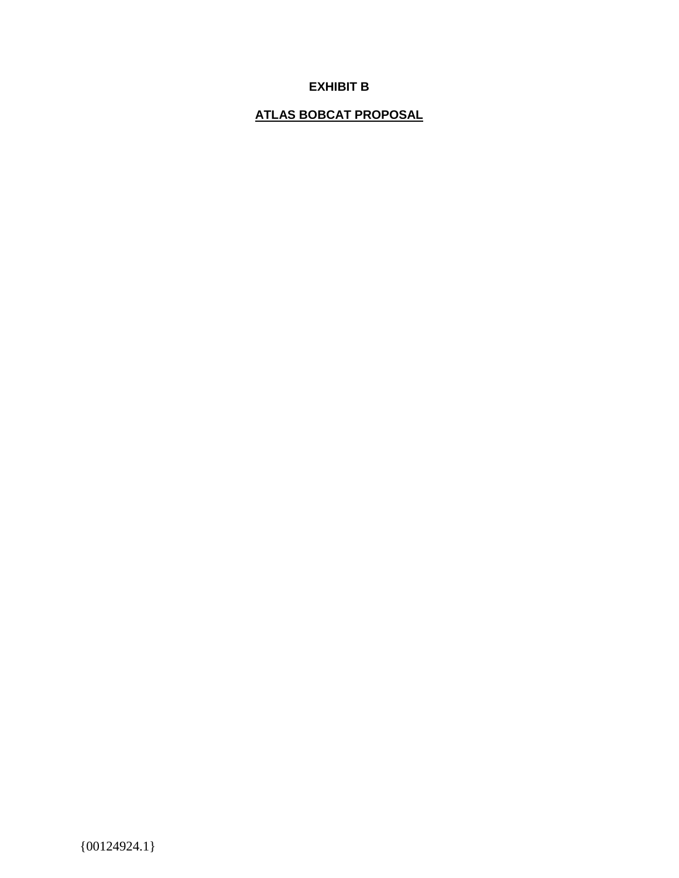## **EXHIBIT B**

# **ATLAS BOBCAT PROPOSAL**

 ${00124924.1}$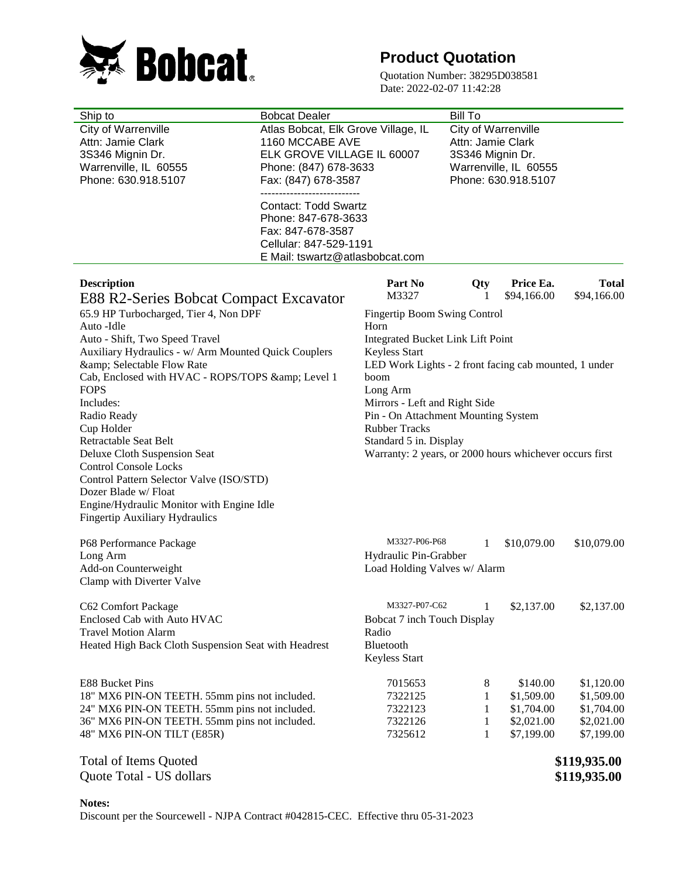

# **Product Quotation**

Quotation Number: 38295D038581 Date: 2022-02-07 11:42:28

| Ship to                                                                                        | <b>Bobcat Dealer</b>                                | <b>Bill To</b>                                                         |                       |                          |                             |  |
|------------------------------------------------------------------------------------------------|-----------------------------------------------------|------------------------------------------------------------------------|-----------------------|--------------------------|-----------------------------|--|
| City of Warrenville                                                                            | Atlas Bobcat, Elk Grove Village, IL                 |                                                                        | City of Warrenville   |                          |                             |  |
| Attn: Jamie Clark                                                                              | 1160 MCCABE AVE                                     | Attn: Jamie Clark                                                      |                       |                          |                             |  |
| 3S346 Mignin Dr.                                                                               | ELK GROVE VILLAGE IL 60007                          | 3S346 Mignin Dr.                                                       |                       |                          |                             |  |
| Warrenville, IL 60555                                                                          | Phone: (847) 678-3633                               |                                                                        | Warrenville, IL 60555 |                          |                             |  |
| Phone: 630.918.5107                                                                            | Fax: (847) 678-3587<br>---------------------------- |                                                                        |                       | Phone: 630.918.5107      |                             |  |
|                                                                                                | <b>Contact: Todd Swartz</b>                         |                                                                        |                       |                          |                             |  |
|                                                                                                | Phone: 847-678-3633                                 |                                                                        |                       |                          |                             |  |
|                                                                                                | Fax: 847-678-3587                                   |                                                                        |                       |                          |                             |  |
|                                                                                                | Cellular: 847-529-1191                              |                                                                        |                       |                          |                             |  |
|                                                                                                | E Mail: tswartz@atlasbobcat.com                     |                                                                        |                       |                          |                             |  |
|                                                                                                |                                                     |                                                                        |                       |                          |                             |  |
| <b>Description</b>                                                                             |                                                     | Part No<br>M3327                                                       | Qty                   | Price Ea.<br>\$94,166.00 | <b>Total</b><br>\$94,166.00 |  |
| E88 R2-Series Bobcat Compact Excavator                                                         |                                                     |                                                                        | $\mathbf{I}$          |                          |                             |  |
| 65.9 HP Turbocharged, Tier 4, Non DPF                                                          |                                                     | Fingertip Boom Swing Control                                           |                       |                          |                             |  |
| Auto -Idle                                                                                     |                                                     | Horn                                                                   |                       |                          |                             |  |
| Auto - Shift, Two Speed Travel<br>Auxiliary Hydraulics - w/ Arm Mounted Quick Couplers         |                                                     | Integrated Bucket Link Lift Point                                      |                       |                          |                             |  |
| & Selectable Flow Rate                                                                         |                                                     | Keyless Start<br>LED Work Lights - 2 front facing cab mounted, 1 under |                       |                          |                             |  |
| Cab, Enclosed with HVAC - ROPS/TOPS & Level 1                                                  |                                                     | boom                                                                   |                       |                          |                             |  |
| <b>FOPS</b>                                                                                    |                                                     | Long Arm                                                               |                       |                          |                             |  |
| Includes:                                                                                      |                                                     | Mirrors - Left and Right Side                                          |                       |                          |                             |  |
| Radio Ready                                                                                    |                                                     | Pin - On Attachment Mounting System                                    |                       |                          |                             |  |
| Cup Holder                                                                                     |                                                     | <b>Rubber Tracks</b>                                                   |                       |                          |                             |  |
| Retractable Seat Belt                                                                          |                                                     | Standard 5 in. Display                                                 |                       |                          |                             |  |
| Deluxe Cloth Suspension Seat                                                                   |                                                     | Warranty: 2 years, or 2000 hours whichever occurs first                |                       |                          |                             |  |
| <b>Control Console Locks</b>                                                                   |                                                     |                                                                        |                       |                          |                             |  |
| Control Pattern Selector Valve (ISO/STD)<br>Dozer Blade w/ Float                               |                                                     |                                                                        |                       |                          |                             |  |
| Engine/Hydraulic Monitor with Engine Idle                                                      |                                                     |                                                                        |                       |                          |                             |  |
| <b>Fingertip Auxiliary Hydraulics</b>                                                          |                                                     |                                                                        |                       |                          |                             |  |
|                                                                                                |                                                     |                                                                        |                       |                          |                             |  |
| P68 Performance Package                                                                        |                                                     | M3327-P06-P68                                                          | 1                     | \$10,079.00              | \$10,079.00                 |  |
| Long Arm                                                                                       |                                                     | Hydraulic Pin-Grabber                                                  |                       |                          |                             |  |
| Add-on Counterweight                                                                           |                                                     | Load Holding Valves w/ Alarm                                           |                       |                          |                             |  |
| Clamp with Diverter Valve                                                                      |                                                     |                                                                        |                       |                          |                             |  |
| C62 Comfort Package                                                                            |                                                     | M3327-P07-C62                                                          | 1                     | \$2,137.00               | \$2,137.00                  |  |
| Enclosed Cab with Auto HVAC                                                                    |                                                     | Bobcat 7 inch Touch Display                                            |                       |                          |                             |  |
| <b>Travel Motion Alarm</b>                                                                     |                                                     | Radio                                                                  |                       |                          |                             |  |
| Heated High Back Cloth Suspension Seat with Headrest                                           |                                                     | Bluetooth                                                              |                       |                          |                             |  |
|                                                                                                |                                                     | Keyless Start                                                          |                       |                          |                             |  |
|                                                                                                |                                                     |                                                                        |                       |                          |                             |  |
| E88 Bucket Pins                                                                                |                                                     | 7015653                                                                | 8                     | \$140.00                 | \$1,120.00                  |  |
| 18" MX6 PIN-ON TEETH. 55mm pins not included.<br>24" MX6 PIN-ON TEETH. 55mm pins not included. |                                                     | 7322125<br>7322123                                                     | 1<br>1                | \$1,509.00<br>\$1,704.00 | \$1,509.00<br>\$1,704.00    |  |
| 36" MX6 PIN-ON TEETH. 55mm pins not included.                                                  |                                                     | 7322126                                                                | 1                     | \$2,021.00               | \$2,021.00                  |  |
| 48" MX6 PIN-ON TILT (E85R)                                                                     |                                                     | 7325612                                                                | 1                     | \$7,199.00               | \$7,199.00                  |  |
|                                                                                                |                                                     |                                                                        |                       |                          |                             |  |
| <b>Total of Items Quoted</b>                                                                   |                                                     |                                                                        |                       |                          | \$119,935.00                |  |
| Quote Total - US dollars                                                                       |                                                     |                                                                        |                       |                          | \$119,935.00                |  |
|                                                                                                |                                                     |                                                                        |                       |                          |                             |  |

**Notes:** Discount per the Sourcewell - NJPA Contract #042815-CEC. Effective thru 05-31-2023